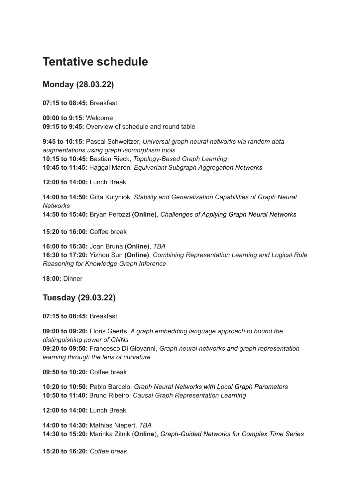## **Tentative schedule**

## **Monday (28.03.22)**

**07:15 to 08:45:** Breakfast

**09:00 to 9:15:** Welcome **09:15 to 9:45:** Overview of schedule and round table

**9:45 to 10:15:** Pascal Schweitzer, *Universal graph neural networks via random data augmentations using graph isomorphism tools* **10:15 to 10:45:** Bastian Rieck, *Topology-Based Graph Learning* **10:45 to 11:45:** Haggai Maron, *Equivariant Subgraph Aggregation Networks*

**12:00 to 14:00:** Lunch Break

**14:00 to 14:50:** Gitta Kutyniok, *Stability and Generalization Capabilities of Graph Neural Networks* **14:50 to 15:40:** Bryan Perozzi **(Online)**, *Challenges of Applying Graph Neural Networks*

**15:20 to 16:00:** Coffee break

**16:00 to 16:30:** Joan Bruna **(Online)**, *TBA* **16:30 to 17:20:** Yizhou Sun **(Online)**, *Combining Representation Learning and Logical Rule Reasoning for Knowledge Graph Inference*

**18:00:** Dinner

## **Tuesday (29.03.22)**

**07:15 to 08:45:** Breakfast

**09:00 to 09:20:** Floris Geerts, *A graph embedding language approach to bound the distinguishing power of GNNs* **09:20 to 09:50:** Francesco Di Giovanni, *Graph neural networks and graph representation learning through the lens of curvature*

**09:50 to 10:20:** Coffee break

**10:20 to 10:50:** Pablo Barcelo, *Graph Neural Networks with Local Graph Parameters* **10:50 to 11:40:** Bruno Ribeiro, *Causal Graph Representation Learning*

**12:00 to 14:00:** Lunch Break

**14:00 to 14:30:** Mathias Niepert, *TBA* **14:30 to 15:20:** Marinka Zitnik (**Online**), *Graph-Guided Networks for Complex Time Series*

**15:20 to 16:20:** *Coffee break*